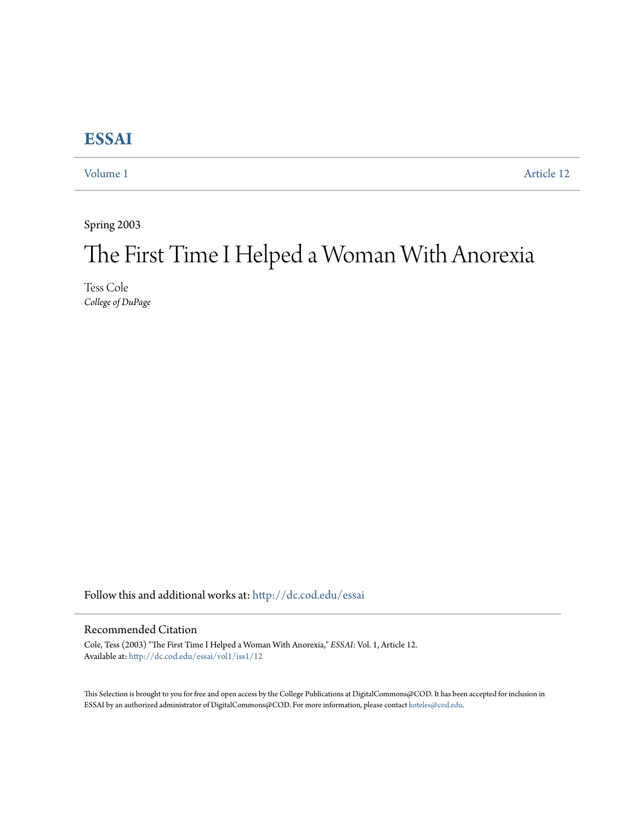## **[ESSAI](http://dc.cod.edu/essai?utm_source=dc.cod.edu%2Fessai%2Fvol1%2Fiss1%2F12&utm_medium=PDF&utm_campaign=PDFCoverPages)**

[Volume 1](http://dc.cod.edu/essai/vol1?utm_source=dc.cod.edu%2Fessai%2Fvol1%2Fiss1%2F12&utm_medium=PDF&utm_campaign=PDFCoverPages) [Article 12](http://dc.cod.edu/essai/vol1/iss1/12?utm_source=dc.cod.edu%2Fessai%2Fvol1%2Fiss1%2F12&utm_medium=PDF&utm_campaign=PDFCoverPages)

Spring 2003

# The First Time I Helped a Woman With Anorexia

Tess Cole *College of DuPage*

Follow this and additional works at: [http://dc.cod.edu/essai](http://dc.cod.edu/essai?utm_source=dc.cod.edu%2Fessai%2Fvol1%2Fiss1%2F12&utm_medium=PDF&utm_campaign=PDFCoverPages)

### Recommended Citation

Cole, Tess (2003) "The First Time I Helped a Woman With Anorexia," *ESSAI*: Vol. 1, Article 12. Available at: [http://dc.cod.edu/essai/vol1/iss1/12](http://dc.cod.edu/essai/vol1/iss1/12?utm_source=dc.cod.edu%2Fessai%2Fvol1%2Fiss1%2F12&utm_medium=PDF&utm_campaign=PDFCoverPages)

This Selection is brought to you for free and open access by the College Publications at DigitalCommons@COD. It has been accepted for inclusion in ESSAI by an authorized administrator of DigitalCommons@COD. For more information, please contact [koteles@cod.edu](mailto:koteles@cod.edu).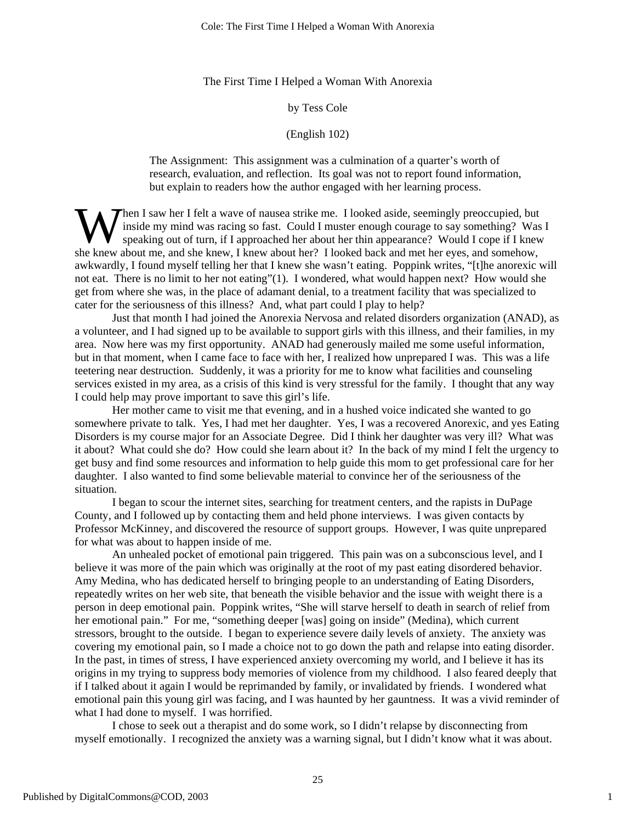#### The First Time I Helped a Woman With Anorexia

#### by Tess Cole

#### (English 102)

The Assignment: This assignment was a culmination of a quarter's worth of research, evaluation, and reflection. Its goal was not to report found information, but explain to readers how the author engaged with her learning process.

Then I saw her I felt a wave of nausea strike me. I looked aside, seemingly preoccupied, but inside my mind was racing so fast. Could I muster enough courage to say something? Was I speaking out of turn, if I approached her about her thin appearance? Would I cope if I knew When I saw her I felt a wave of nausea strike me. I looked aside, seemingly preoccupied, but inside my mind was racing so fast. Could I muster enough courage to say something? Was speaking out of turn, if I approached her awkwardly, I found myself telling her that I knew she wasn't eating. Poppink writes, "[t]he anorexic will not eat. There is no limit to her not eating"(1). I wondered, what would happen next? How would she get from where she was, in the place of adamant denial, to a treatment facility that was specialized to cater for the seriousness of this illness? And, what part could I play to help?

Just that month I had joined the Anorexia Nervosa and related disorders organization (ANAD), as a volunteer, and I had signed up to be available to support girls with this illness, and their families, in my area. Now here was my first opportunity. ANAD had generously mailed me some useful information, but in that moment, when I came face to face with her, I realized how unprepared I was. This was a life teetering near destruction. Suddenly, it was a priority for me to know what facilities and counseling services existed in my area, as a crisis of this kind is very stressful for the family. I thought that any way I could help may prove important to save this girl's life.

Her mother came to visit me that evening, and in a hushed voice indicated she wanted to go somewhere private to talk. Yes, I had met her daughter. Yes, I was a recovered Anorexic, and yes Eating Disorders is my course major for an Associate Degree. Did I think her daughter was very ill? What was it about? What could she do? How could she learn about it? In the back of my mind I felt the urgency to get busy and find some resources and information to help guide this mom to get professional care for her daughter. I also wanted to find some believable material to convince her of the seriousness of the situation.

I began to scour the internet sites, searching for treatment centers, and the rapists in DuPage County, and I followed up by contacting them and held phone interviews. I was given contacts by Professor McKinney, and discovered the resource of support groups. However, I was quite unprepared for what was about to happen inside of me.

An unhealed pocket of emotional pain triggered. This pain was on a subconscious level, and I believe it was more of the pain which was originally at the root of my past eating disordered behavior. Amy Medina, who has dedicated herself to bringing people to an understanding of Eating Disorders, repeatedly writes on her web site, that beneath the visible behavior and the issue with weight there is a person in deep emotional pain. Poppink writes, "She will starve herself to death in search of relief from her emotional pain." For me, "something deeper [was] going on inside" (Medina), which current stressors, brought to the outside. I began to experience severe daily levels of anxiety. The anxiety was covering my emotional pain, so I made a choice not to go down the path and relapse into eating disorder. In the past, in times of stress, I have experienced anxiety overcoming my world, and I believe it has its origins in my trying to suppress body memories of violence from my childhood. I also feared deeply that if I talked about it again I would be reprimanded by family, or invalidated by friends. I wondered what emotional pain this young girl was facing, and I was haunted by her gauntness. It was a vivid reminder of what I had done to myself. I was horrified.

I chose to seek out a therapist and do some work, so I didn't relapse by disconnecting from myself emotionally. I recognized the anxiety was a warning signal, but I didn't know what it was about.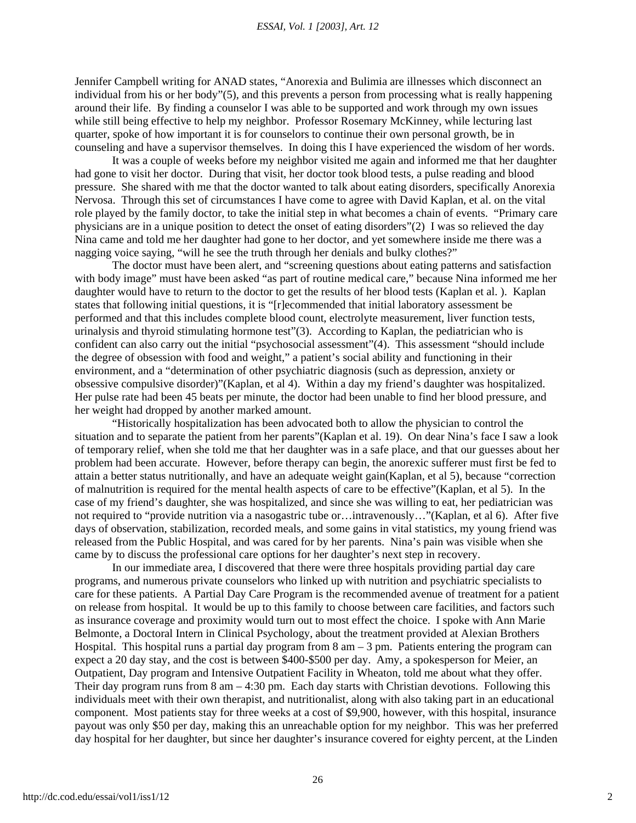Jennifer Campbell writing for ANAD states, "Anorexia and Bulimia are illnesses which disconnect an individual from his or her body"(5), and this prevents a person from processing what is really happening around their life. By finding a counselor I was able to be supported and work through my own issues while still being effective to help my neighbor. Professor Rosemary McKinney, while lecturing last quarter, spoke of how important it is for counselors to continue their own personal growth, be in counseling and have a supervisor themselves. In doing this I have experienced the wisdom of her words.

It was a couple of weeks before my neighbor visited me again and informed me that her daughter had gone to visit her doctor. During that visit, her doctor took blood tests, a pulse reading and blood pressure. She shared with me that the doctor wanted to talk about eating disorders, specifically Anorexia Nervosa. Through this set of circumstances I have come to agree with David Kaplan, et al. on the vital role played by the family doctor, to take the initial step in what becomes a chain of events. "Primary care physicians are in a unique position to detect the onset of eating disorders"(2) I was so relieved the day Nina came and told me her daughter had gone to her doctor, and yet somewhere inside me there was a nagging voice saying, "will he see the truth through her denials and bulky clothes?"

The doctor must have been alert, and "screening questions about eating patterns and satisfaction with body image" must have been asked "as part of routine medical care," because Nina informed me her daughter would have to return to the doctor to get the results of her blood tests (Kaplan et al. ). Kaplan states that following initial questions, it is "[r]ecommended that initial laboratory assessment be performed and that this includes complete blood count, electrolyte measurement, liver function tests, urinalysis and thyroid stimulating hormone test"(3). According to Kaplan, the pediatrician who is confident can also carry out the initial "psychosocial assessment"(4). This assessment "should include the degree of obsession with food and weight," a patient's social ability and functioning in their environment, and a "determination of other psychiatric diagnosis (such as depression, anxiety or obsessive compulsive disorder)"(Kaplan, et al 4). Within a day my friend's daughter was hospitalized. Her pulse rate had been 45 beats per minute, the doctor had been unable to find her blood pressure, and her weight had dropped by another marked amount.

"Historically hospitalization has been advocated both to allow the physician to control the situation and to separate the patient from her parents"(Kaplan et al. 19). On dear Nina's face I saw a look of temporary relief, when she told me that her daughter was in a safe place, and that our guesses about her problem had been accurate. However, before therapy can begin, the anorexic sufferer must first be fed to attain a better status nutritionally, and have an adequate weight gain(Kaplan, et al 5), because "correction of malnutrition is required for the mental health aspects of care to be effective"(Kaplan, et al 5). In the case of my friend's daughter, she was hospitalized, and since she was willing to eat, her pediatrician was not required to "provide nutrition via a nasogastric tube or…intravenously…"(Kaplan, et al 6). After five days of observation, stabilization, recorded meals, and some gains in vital statistics, my young friend was released from the Public Hospital, and was cared for by her parents. Nina's pain was visible when she came by to discuss the professional care options for her daughter's next step in recovery.

In our immediate area, I discovered that there were three hospitals providing partial day care programs, and numerous private counselors who linked up with nutrition and psychiatric specialists to care for these patients. A Partial Day Care Program is the recommended avenue of treatment for a patient on release from hospital. It would be up to this family to choose between care facilities, and factors such as insurance coverage and proximity would turn out to most effect the choice. I spoke with Ann Marie Belmonte, a Doctoral Intern in Clinical Psychology, about the treatment provided at Alexian Brothers Hospital. This hospital runs a partial day program from  $8 \text{ am} - 3 \text{ pm}$ . Patients entering the program can expect a 20 day stay, and the cost is between \$400-\$500 per day. Amy, a spokesperson for Meier, an Outpatient, Day program and Intensive Outpatient Facility in Wheaton, told me about what they offer. Their day program runs from  $8 \text{ am} - 4:30 \text{ pm}$ . Each day starts with Christian devotions. Following this individuals meet with their own therapist, and nutritionalist, along with also taking part in an educational component. Most patients stay for three weeks at a cost of \$9,900, however, with this hospital, insurance payout was only \$50 per day, making this an unreachable option for my neighbor. This was her preferred day hospital for her daughter, but since her daughter's insurance covered for eighty percent, at the Linden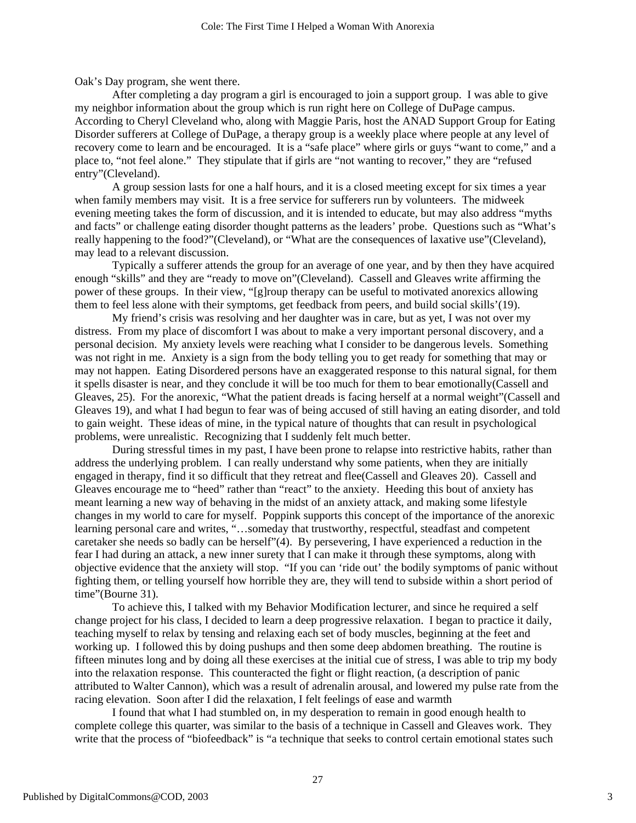Oak's Day program, she went there.

After completing a day program a girl is encouraged to join a support group. I was able to give my neighbor information about the group which is run right here on College of DuPage campus. According to Cheryl Cleveland who, along with Maggie Paris, host the ANAD Support Group for Eating Disorder sufferers at College of DuPage, a therapy group is a weekly place where people at any level of recovery come to learn and be encouraged. It is a "safe place" where girls or guys "want to come," and a place to, "not feel alone." They stipulate that if girls are "not wanting to recover," they are "refused entry"(Cleveland).

A group session lasts for one a half hours, and it is a closed meeting except for six times a year when family members may visit. It is a free service for sufferers run by volunteers. The midweek evening meeting takes the form of discussion, and it is intended to educate, but may also address "myths and facts" or challenge eating disorder thought patterns as the leaders' probe. Questions such as "What's really happening to the food?"(Cleveland), or "What are the consequences of laxative use"(Cleveland), may lead to a relevant discussion.

Typically a sufferer attends the group for an average of one year, and by then they have acquired enough "skills" and they are "ready to move on"(Cleveland). Cassell and Gleaves write affirming the power of these groups. In their view, "[g]roup therapy can be useful to motivated anorexics allowing them to feel less alone with their symptoms, get feedback from peers, and build social skills'(19).

My friend's crisis was resolving and her daughter was in care, but as yet, I was not over my distress. From my place of discomfort I was about to make a very important personal discovery, and a personal decision. My anxiety levels were reaching what I consider to be dangerous levels. Something was not right in me. Anxiety is a sign from the body telling you to get ready for something that may or may not happen. Eating Disordered persons have an exaggerated response to this natural signal, for them it spells disaster is near, and they conclude it will be too much for them to bear emotionally(Cassell and Gleaves, 25). For the anorexic, "What the patient dreads is facing herself at a normal weight"(Cassell and Gleaves 19), and what I had begun to fear was of being accused of still having an eating disorder, and told to gain weight. These ideas of mine, in the typical nature of thoughts that can result in psychological problems, were unrealistic. Recognizing that I suddenly felt much better.

During stressful times in my past, I have been prone to relapse into restrictive habits, rather than address the underlying problem. I can really understand why some patients, when they are initially engaged in therapy, find it so difficult that they retreat and flee(Cassell and Gleaves 20). Cassell and Gleaves encourage me to "heed" rather than "react" to the anxiety. Heeding this bout of anxiety has meant learning a new way of behaving in the midst of an anxiety attack, and making some lifestyle changes in my world to care for myself. Poppink supports this concept of the importance of the anorexic learning personal care and writes, "…someday that trustworthy, respectful, steadfast and competent caretaker she needs so badly can be herself"(4). By persevering, I have experienced a reduction in the fear I had during an attack, a new inner surety that I can make it through these symptoms, along with objective evidence that the anxiety will stop. "If you can 'ride out' the bodily symptoms of panic without fighting them, or telling yourself how horrible they are, they will tend to subside within a short period of time"(Bourne 31).

To achieve this, I talked with my Behavior Modification lecturer, and since he required a self change project for his class, I decided to learn a deep progressive relaxation. I began to practice it daily, teaching myself to relax by tensing and relaxing each set of body muscles, beginning at the feet and working up. I followed this by doing pushups and then some deep abdomen breathing. The routine is fifteen minutes long and by doing all these exercises at the initial cue of stress, I was able to trip my body into the relaxation response. This counteracted the fight or flight reaction, (a description of panic attributed to Walter Cannon), which was a result of adrenalin arousal, and lowered my pulse rate from the racing elevation. Soon after I did the relaxation, I felt feelings of ease and warmth

I found that what I had stumbled on, in my desperation to remain in good enough health to complete college this quarter, was similar to the basis of a technique in Cassell and Gleaves work. They write that the process of "biofeedback" is "a technique that seeks to control certain emotional states such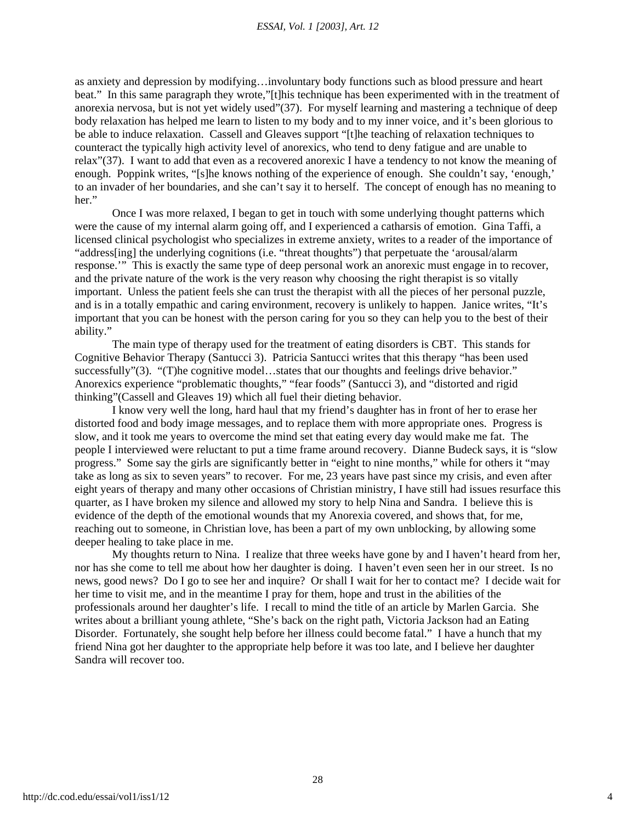as anxiety and depression by modifying…involuntary body functions such as blood pressure and heart beat." In this same paragraph they wrote,"[t]his technique has been experimented with in the treatment of anorexia nervosa, but is not yet widely used"(37). For myself learning and mastering a technique of deep body relaxation has helped me learn to listen to my body and to my inner voice, and it's been glorious to be able to induce relaxation. Cassell and Gleaves support "[t]he teaching of relaxation techniques to counteract the typically high activity level of anorexics, who tend to deny fatigue and are unable to relax"(37). I want to add that even as a recovered anorexic I have a tendency to not know the meaning of enough. Poppink writes, "[s]he knows nothing of the experience of enough. She couldn't say, 'enough,' to an invader of her boundaries, and she can't say it to herself. The concept of enough has no meaning to her."

Once I was more relaxed, I began to get in touch with some underlying thought patterns which were the cause of my internal alarm going off, and I experienced a catharsis of emotion. Gina Taffi, a licensed clinical psychologist who specializes in extreme anxiety, writes to a reader of the importance of "address[ing] the underlying cognitions (i.e. "threat thoughts") that perpetuate the 'arousal/alarm response.'" This is exactly the same type of deep personal work an anorexic must engage in to recover, and the private nature of the work is the very reason why choosing the right therapist is so vitally important. Unless the patient feels she can trust the therapist with all the pieces of her personal puzzle, and is in a totally empathic and caring environment, recovery is unlikely to happen. Janice writes, "It's important that you can be honest with the person caring for you so they can help you to the best of their ability."

The main type of therapy used for the treatment of eating disorders is CBT. This stands for Cognitive Behavior Therapy (Santucci 3). Patricia Santucci writes that this therapy "has been used successfully"(3). "(T)he cognitive model...states that our thoughts and feelings drive behavior." Anorexics experience "problematic thoughts," "fear foods" (Santucci 3), and "distorted and rigid thinking"(Cassell and Gleaves 19) which all fuel their dieting behavior.

I know very well the long, hard haul that my friend's daughter has in front of her to erase her distorted food and body image messages, and to replace them with more appropriate ones. Progress is slow, and it took me years to overcome the mind set that eating every day would make me fat. The people I interviewed were reluctant to put a time frame around recovery. Dianne Budeck says, it is "slow progress." Some say the girls are significantly better in "eight to nine months," while for others it "may take as long as six to seven years" to recover. For me, 23 years have past since my crisis, and even after eight years of therapy and many other occasions of Christian ministry, I have still had issues resurface this quarter, as I have broken my silence and allowed my story to help Nina and Sandra. I believe this is evidence of the depth of the emotional wounds that my Anorexia covered, and shows that, for me, reaching out to someone, in Christian love, has been a part of my own unblocking, by allowing some deeper healing to take place in me.

My thoughts return to Nina. I realize that three weeks have gone by and I haven't heard from her, nor has she come to tell me about how her daughter is doing. I haven't even seen her in our street. Is no news, good news? Do I go to see her and inquire? Or shall I wait for her to contact me? I decide wait for her time to visit me, and in the meantime I pray for them, hope and trust in the abilities of the professionals around her daughter's life. I recall to mind the title of an article by Marlen Garcia. She writes about a brilliant young athlete, "She's back on the right path, Victoria Jackson had an Eating Disorder. Fortunately, she sought help before her illness could become fatal." I have a hunch that my friend Nina got her daughter to the appropriate help before it was too late, and I believe her daughter Sandra will recover too.